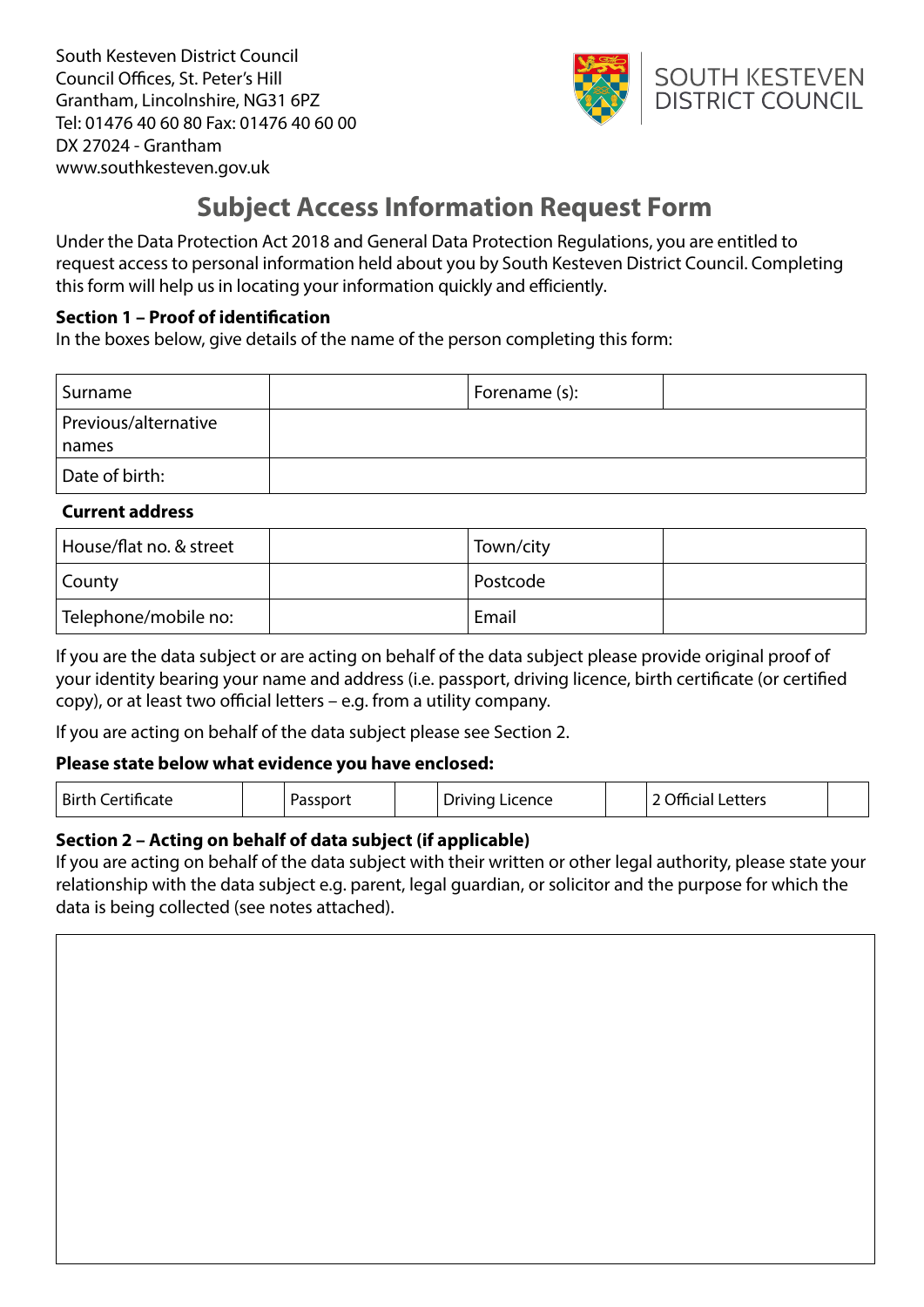South Kesteven District Council Council Offices, St. Peter's Hill Grantham, Lincolnshire, NG31 6PZ Tel: 01476 40 60 80 Fax: 01476 40 60 00 DX 27024 - Grantham www.southkesteven.gov.uk



# **Subject Access Information Request Form**

Under the Data Protection Act 2018 and General Data Protection Regulations, you are entitled to request access to personal information held about you by South Kesteven District Council. Completing this form will help us in locating your information quickly and efficiently.

# **Section 1 – Proof of identifcation**

In the boxes below, give details of the name of the person completing this form:

| Surname                       | Forename (s): |  |
|-------------------------------|---------------|--|
| Previous/alternative<br>names |               |  |
| Date of birth:                |               |  |

# **Current address**

| House/flat no. & street | Town/city |  |
|-------------------------|-----------|--|
| County                  | Postcode  |  |
| Telephone/mobile no:    | Email     |  |

If you are the data subject or are acting on behalf of the data subject please provide original proof of your identity bearing your name and address (i.e. passport, driving licence, birth certifcate (or certifed  $copy)$ , or at least two official letters – e.g. from a utility company.

If you are acting on behalf of the data subject please see Section 2.

# **Please state below what evidence you have enclosed:**

| Birth<br>レーヘキー<br>91 H<br>. | ----- | Licence<br>1.4.1.7.1.0<br>priving | etters<br>$\overline{a}$<br>. |  |
|-----------------------------|-------|-----------------------------------|-------------------------------|--|
|                             |       |                                   |                               |  |

# **Section 2 – Acting on behalf of data subject (if applicable)**

If you are acting on behalf of the data subject with their written or other legal authority, please state your relationship with the data subject e.g. parent, legal guardian, or solicitor and the purpose for which the data is being collected (see notes attached).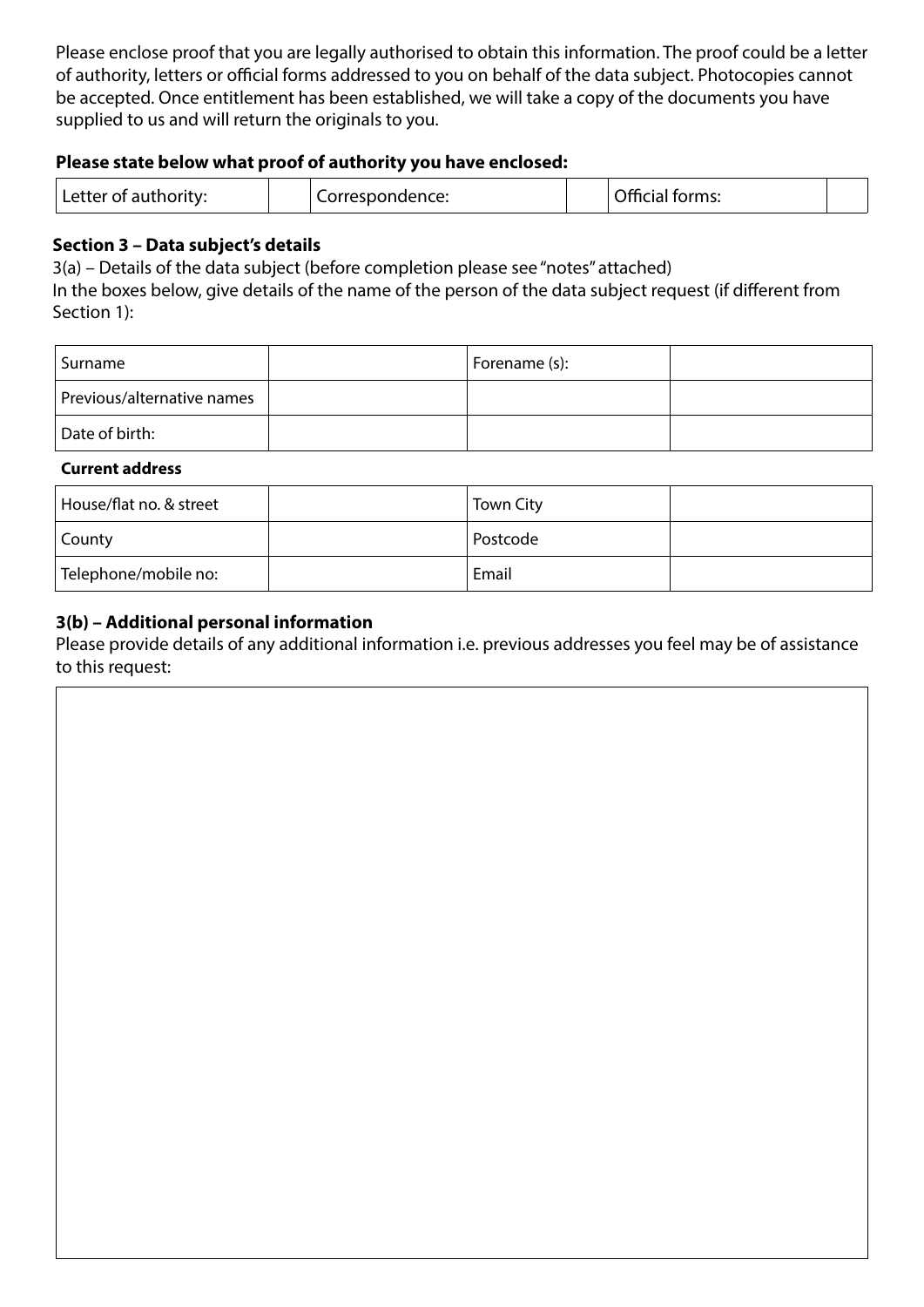Please enclose proof that you are legally authorised to obtain this information. The proof could be a letter of authority, letters or official forms addressed to you on behalf of the data subject. Photocopies cannot be accepted. Once entitlement has been established, we will take a copy of the documents you have supplied to us and will return the originals to you.

#### **Please state below what proof of authority you have enclosed:**

| 221<br>.<br>--<br>. |  | n cc<br><br>.<br>.<br>$\overline{a}$ |  |
|---------------------|--|--------------------------------------|--|
|---------------------|--|--------------------------------------|--|

### **Section 3 – Data subject's details**

3(a) – Details of the data subject (before completion please see "notes" attached)

In the boxes below, give details of the name of the person of the data subject request (if diferent from Section 1):

| Surname                    | Forename (s): |  |
|----------------------------|---------------|--|
| Previous/alternative names |               |  |
| Date of birth:             |               |  |

#### **Current address**

| House/flat no. & street | <b>Town City</b> |  |
|-------------------------|------------------|--|
| County                  | Postcode         |  |
| Telephone/mobile no:    | Email            |  |

### **3(b) – Additional personal information**

Please provide details of any additional information i.e. previous addresses you feel may be of assistance to this request: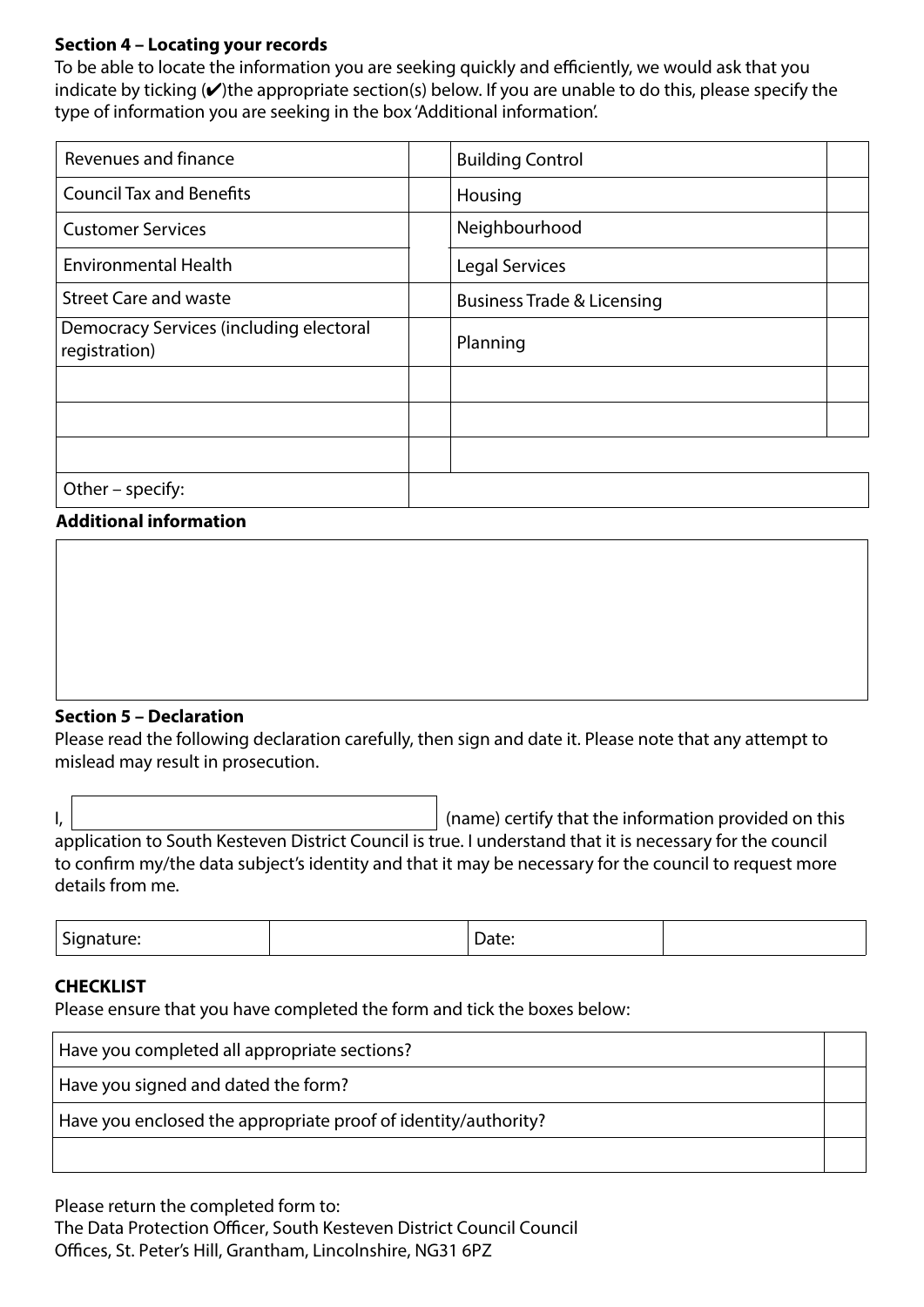## **Section 4 – Locating your records**

To be able to locate the information you are seeking quickly and efficiently, we would ask that you indicate by ticking  $(V)$ the appropriate section(s) below. If you are unable to do this, please specify the type of information you are seeking in the box 'Additional information'.

| Revenues and finance                                     | <b>Building Control</b>               |
|----------------------------------------------------------|---------------------------------------|
| <b>Council Tax and Benefits</b>                          | Housing                               |
| <b>Customer Services</b>                                 | Neighbourhood                         |
| <b>Environmental Health</b>                              | <b>Legal Services</b>                 |
| <b>Street Care and waste</b>                             | <b>Business Trade &amp; Licensing</b> |
| Democracy Services (including electoral<br>registration) | Planning                              |
|                                                          |                                       |
|                                                          |                                       |
|                                                          |                                       |
| Other - specify:                                         |                                       |

### **Additional information**

#### **Section 5 – Declaration**

Please read the following declaration carefully, then sign and date it. Please note that any attempt to mislead may result in prosecution.

I,  $\vert$   $\vert$ application to South Kesteven District Council is true. I understand that it is necessary for the council to confrm my/the data subject's identity and that it may be necessary for the council to request more details from me.

| -<br>- - - - -<br>$  -$ |  |
|-------------------------|--|
|-------------------------|--|

### **CHECKLIST**

Please ensure that you have completed the form and tick the boxes below:

| Have you completed all appropriate sections?                   |  |
|----------------------------------------------------------------|--|
| Have you signed and dated the form?                            |  |
| Have you enclosed the appropriate proof of identity/authority? |  |
|                                                                |  |

Please return the completed form to:

The Data Protection Officer, South Kesteven District Council Council

Offices, St. Peter's Hill, Grantham, Lincolnshire, NG31 6PZ